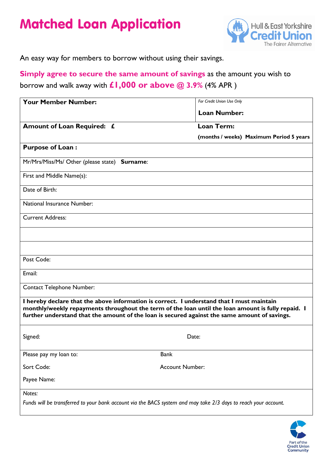# Matched Loan Application



An easy way for members to borrow without using their savings.

## **Simply agree to secure the same amount of savings** as the amount you wish to borrow and walk away with **£1,000 or above @ 3.9%** (4% APR )

| <b>Your Member Number:</b>                                                                                                                                                                                                                                                                       | For Credit Union Use Only               |
|--------------------------------------------------------------------------------------------------------------------------------------------------------------------------------------------------------------------------------------------------------------------------------------------------|-----------------------------------------|
|                                                                                                                                                                                                                                                                                                  | <b>Loan Number:</b>                     |
|                                                                                                                                                                                                                                                                                                  |                                         |
| Amount of Loan Required: £                                                                                                                                                                                                                                                                       | <b>Loan Term:</b>                       |
|                                                                                                                                                                                                                                                                                                  | (months / weeks) Maximum Period 5 years |
| <b>Purpose of Loan:</b>                                                                                                                                                                                                                                                                          |                                         |
| Mr/Mrs/Miss/Ms/ Other (please state) Surname:                                                                                                                                                                                                                                                    |                                         |
| First and Middle Name(s):                                                                                                                                                                                                                                                                        |                                         |
| Date of Birth:                                                                                                                                                                                                                                                                                   |                                         |
| National Insurance Number:                                                                                                                                                                                                                                                                       |                                         |
| <b>Current Address:</b>                                                                                                                                                                                                                                                                          |                                         |
|                                                                                                                                                                                                                                                                                                  |                                         |
|                                                                                                                                                                                                                                                                                                  |                                         |
| Post Code:                                                                                                                                                                                                                                                                                       |                                         |
| Email:                                                                                                                                                                                                                                                                                           |                                         |
| <b>Contact Telephone Number:</b>                                                                                                                                                                                                                                                                 |                                         |
| I hereby declare that the above information is correct. I understand that I must maintain<br>monthly/weekly repayments throughout the term of the loan until the loan amount is fully repaid. I<br>further understand that the amount of the loan is secured against the same amount of savings. |                                         |
| Signed:                                                                                                                                                                                                                                                                                          | Date:                                   |
| Please pay my loan to:                                                                                                                                                                                                                                                                           | <b>Bank</b>                             |
| Sort Code:                                                                                                                                                                                                                                                                                       | <b>Account Number:</b>                  |
| Payee Name:                                                                                                                                                                                                                                                                                      |                                         |
| Notes:                                                                                                                                                                                                                                                                                           |                                         |
| Funds will be transferred to your bank account via the BACS system and may take 2/3 days to reach your account.                                                                                                                                                                                  |                                         |